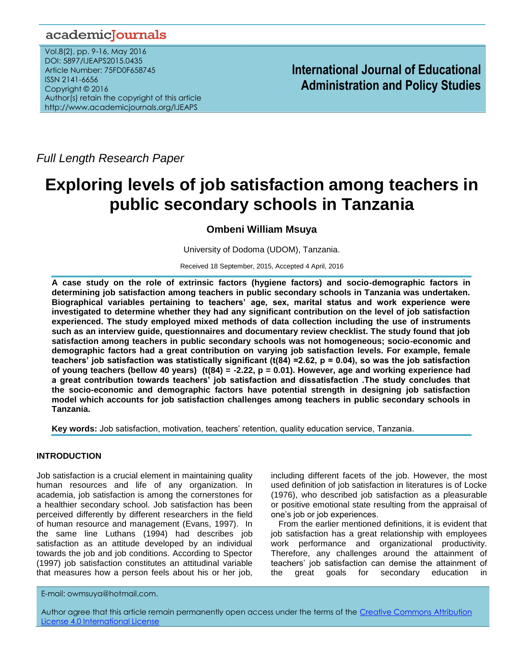# academiclournals

Vol.8(2), pp. 9-16, May 2016 DOI: 5897/IJEAPS2015.0435 Article Number: 75FD0F658745 ISSN 2141-6656 Copyright © 2016 Author(s) retain the copyright of this article http://www.academicjournals.org/IJEAPS

**International Journal of Educational Administration and Policy Studies**

*Full Length Research Paper*

# **Exploring levels of job satisfaction among teachers in public secondary schools in Tanzania**

**Ombeni William Msuya**

University of Dodoma (UDOM), Tanzania.

Received 18 September, 2015, Accepted 4 April, 2016

**A case study on the role of extrinsic factors (hygiene factors) and socio-demographic factors in determining job satisfaction among teachers in public secondary schools in Tanzania was undertaken. Biographical variables pertaining to teachers' age, sex, marital status and work experience were investigated to determine whether they had any significant contribution on the level of job satisfaction experienced. The study employed mixed methods of data collection including the use of instruments such as an interview guide, questionnaires and documentary review checklist. The study found that job satisfaction among teachers in public secondary schools was not homogeneous; socio-economic and demographic factors had a great contribution on varying job satisfaction levels. For example, female teachers' job satisfaction was statistically significant (t(84) =2.62, p = 0.04), so was the job satisfaction of young teachers (bellow 40 years) (t(84) = -2.22, p = 0.01). However, age and working experience had a great contribution towards teachers' job satisfaction and dissatisfaction .The study concludes that the socio-economic and demographic factors have potential strength in designing job satisfaction model which accounts for job satisfaction challenges among teachers in public secondary schools in Tanzania.**

**Key words:** Job satisfaction, motivation, teachers" retention, quality education service, Tanzania.

# **INTRODUCTION**

Job satisfaction is a crucial element in maintaining quality human resources and life of any organization. In academia, job satisfaction is among the cornerstones for a healthier secondary school. Job satisfaction has been perceived differently by different researchers in the field of human resource and management (Evans, 1997). In the same line Luthans (1994) had describes job satisfaction as an attitude developed by an individual towards the job and job conditions. According to Spector (1997) job satisfaction constitutes an attitudinal variable that measures how a person feels about his or her job,

including different facets of the job. However, the most used definition of job satisfaction in literatures is of Locke (1976), who described job satisfaction as a pleasurable or positive emotional state resulting from the appraisal of one"s job or job experiences.

From the earlier mentioned definitions, it is evident that job satisfaction has a great relationship with employees work performance and organizational productivity. Therefore, any challenges around the attainment of teachers" job satisfaction can demise the attainment of the great goals for secondary education in

E-mail: owmsuya@hotmail.com.

Author agree that this article remain permanently open access under the terms of the Creative Commons Attribution [License 4.0 International License](http://creativecommons.org/licenses/by/4.0/deed.en_US)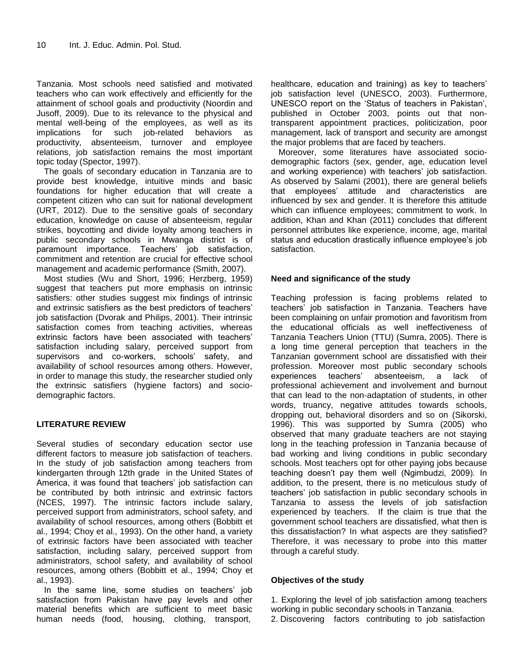Tanzania. Most schools need satisfied and motivated teachers who can work effectively and efficiently for the attainment of school goals and productivity (Noordin and Jusoff, 2009). Due to its relevance to the physical and mental well-being of the employees, as well as its implications for such job-related behaviors as productivity, absenteeism, turnover and employee relations, job satisfaction remains the most important topic today (Spector, 1997).

The goals of secondary education in Tanzania are to provide best knowledge, intuitive minds and basic foundations for higher education that will create a competent citizen who can suit for national development (URT, 2012). Due to the sensitive goals of secondary education, knowledge on cause of absenteeism, regular strikes, boycotting and divide loyalty among teachers in public secondary schools in Mwanga district is of paramount importance. Teachers' job satisfaction, commitment and retention are crucial for effective school management and academic performance (Smith, 2007).

Most studies (Wu and Short, 1996; Herzberg, 1959) suggest that teachers put more emphasis on intrinsic satisfiers: other studies suggest mix findings of intrinsic and extrinsic satisfiers as the best predictors of teachers" job satisfaction (Dvorak and Philips, 2001). Their intrinsic satisfaction comes from teaching activities, whereas extrinsic factors have been associated with teachers' satisfaction including salary, perceived support from supervisors and co-workers, schools' safety, and availability of school resources among others. However, in order to manage this study, the researcher studied only the extrinsic satisfiers (hygiene factors) and sociodemographic factors.

# **LITERATURE REVIEW**

Several studies of secondary education sector use different factors to measure job satisfaction of teachers. In the study of job satisfaction among teachers from kindergarten through 12th grade in the United States of America, it was found that teachers' job satisfaction can be contributed by both intrinsic and extrinsic factors (NCES, 1997). The intrinsic factors include salary, perceived support from administrators, school safety, and availability of school resources, among others (Bobbitt et al., 1994; Choy et al., 1993). On the other hand, a variety of extrinsic factors have been associated with teacher satisfaction, including salary, perceived support from administrators, school safety, and availability of school resources, among others (Bobbitt et al., 1994; Choy et al., 1993).

In the same line, some studies on teachers' job satisfaction from Pakistan have pay levels and other material benefits which are sufficient to meet basic human needs (food, housing, clothing, transport,

healthcare, education and training) as key to teachers' job satisfaction level (UNESCO, 2003). Furthermore, UNESCO report on the "Status of teachers in Pakistan", published in October 2003, points out that nontransparent appointment practices, politicization, poor management, lack of transport and security are amongst the major problems that are faced by teachers.

Moreover, some literatures have associated sociodemographic factors (sex, gender, age, education level and working experience) with teachers' job satisfaction. As observed by Salami (2001), there are general beliefs that employees" attitude and characteristics are influenced by sex and gender. It is therefore this attitude which can influence employees; commitment to work. In addition, Khan and Khan (2011) concludes that different personnel attributes like experience, income, age, marital status and education drastically influence employee's job satisfaction.

# **Need and significance of the study**

Teaching profession is facing problems related to teachers" job satisfaction in Tanzania. Teachers have been complaining on unfair promotion and favoritism from the educational officials as well ineffectiveness of Tanzania Teachers Union (TTU) (Sumra, 2005). There is a long time general perception that teachers in the Tanzanian government school are dissatisfied with their profession. Moreover most public secondary schools experiences teachers" absenteeism, a lack of professional achievement and involvement and burnout that can lead to the non-adaptation of students, in other words, truancy, negative attitudes towards schools, dropping out, behavioral disorders and so on (Sikorski, 1996). This was supported by Sumra (2005) who observed that many graduate teachers are not staying long in the teaching profession in Tanzania because of bad working and living conditions in public secondary schools. Most teachers opt for other paying jobs because teaching doesn"t pay them well (Ngimbudzi, 2009). In addition, to the present, there is no meticulous study of teachers" job satisfaction in public secondary schools in Tanzania to assess the levels of job satisfaction experienced by teachers. If the claim is true that the government school teachers are dissatisfied, what then is this dissatisfaction? In what aspects are they satisfied? Therefore, it was necessary to probe into this matter through a careful study.

# **Objectives of the study**

1. Exploring the level of job satisfaction among teachers working in public secondary schools in Tanzania.

2. Discovering factors contributing to job satisfaction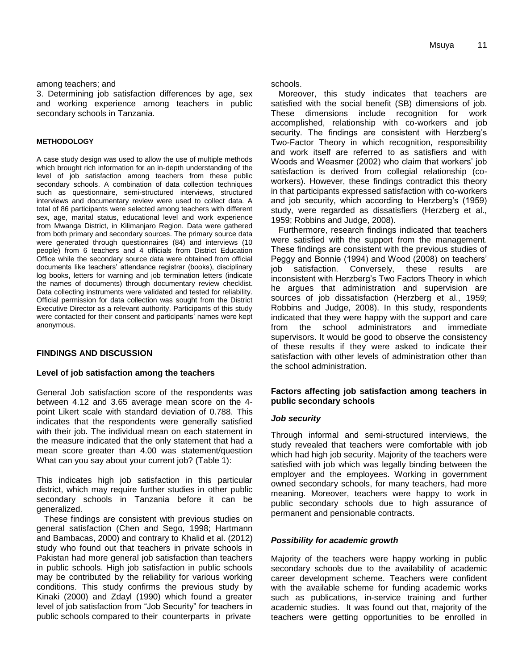#### among teachers; and

3. Determining job satisfaction differences by age, sex and working experience among teachers in public secondary schools in Tanzania.

#### **METHODOLOGY**

A case study design was used to allow the use of multiple methods which brought rich information for an in-depth understanding of the level of job satisfaction among teachers from these public secondary schools. A combination of data collection techniques such as questionnaire, semi-structured interviews, structured interviews and documentary review were used to collect data. A total of 86 participants were selected among teachers with different sex, age, marital status, educational level and work experience from Mwanga District, in Kilimanjaro Region. Data were gathered from both primary and secondary sources. The primary source data were generated through questionnaires (84) and interviews (10 people) from 6 teachers and 4 officials from District Education Office while the secondary source data were obtained from official documents like teachers" attendance registrar (books), disciplinary log books, letters for warning and job termination letters (indicate the names of documents) through documentary review checklist. Data collecting instruments were validated and tested for reliability. Official permission for data collection was sought from the District Executive Director as a relevant authority. Participants of this study were contacted for their consent and participants' names were kept anonymous.

# **FINDINGS AND DISCUSSION**

# **Level of job satisfaction among the teachers**

General Job satisfaction score of the respondents was between 4.12 and 3.65 average mean score on the 4 point Likert scale with standard deviation of 0.788. This indicates that the respondents were generally satisfied with their job. The individual mean on each statement in the measure indicated that the only statement that had a mean score greater than 4.00 was statement/question What can you say about your current job? (Table 1):

This indicates high job satisfaction in this particular district, which may require further studies in other public secondary schools in Tanzania before it can be generalized.

These findings are consistent with previous studies on general satisfaction (Chen and Sego, 1998; Hartmann and Bambacas, 2000) and contrary to Khalid et al. (2012) study who found out that teachers in private schools in Pakistan had more general job satisfaction than teachers in public schools. High job satisfaction in public schools may be contributed by the reliability for various working conditions. This study confirms the previous study by Kinaki (2000) and Zdayl (1990) which found a greater level of job satisfaction from "Job Security" for teachers in public schools compared to their counterparts in private

schools.

Moreover, this study indicates that teachers are satisfied with the social benefit (SB) dimensions of job. These dimensions include recognition for work accomplished, relationship with co-workers and job security. The findings are consistent with Herzberg's Two-Factor Theory in which recognition, responsibility and work itself are referred to as satisfiers and with Woods and Weasmer (2002) who claim that workers" job satisfaction is derived from collegial relationship (coworkers). However, these findings contradict this theory in that participants expressed satisfaction with co-workers and job security, which according to Herzberg's (1959) study, were regarded as dissatisfiers (Herzberg et al., 1959; Robbins and Judge, 2008).

Furthermore, research findings indicated that teachers were satisfied with the support from the management. These findings are consistent with the previous studies of Peggy and Bonnie (1994) and Wood (2008) on teachers" job satisfaction. Conversely, these results are inconsistent with Herzberg"s Two Factors Theory in which he argues that administration and supervision are sources of job dissatisfaction (Herzberg et al., 1959; Robbins and Judge, 2008). In this study, respondents indicated that they were happy with the support and care from the school administrators and immediate supervisors. It would be good to observe the consistency of these results if they were asked to indicate their satisfaction with other levels of administration other than the school administration.

# **Factors affecting job satisfaction among teachers in public secondary schools**

# *Job security*

Through informal and semi-structured interviews, the study revealed that teachers were comfortable with job which had high job security. Majority of the teachers were satisfied with job which was legally binding between the employer and the employees. Working in government owned secondary schools, for many teachers, had more meaning. Moreover, teachers were happy to work in public secondary schools due to high assurance of permanent and pensionable contracts.

# *Possibility for academic growth*

Majority of the teachers were happy working in public secondary schools due to the availability of academic career development scheme. Teachers were confident with the available scheme for funding academic works such as publications, in-service training and further academic studies. It was found out that, majority of the teachers were getting opportunities to be enrolled in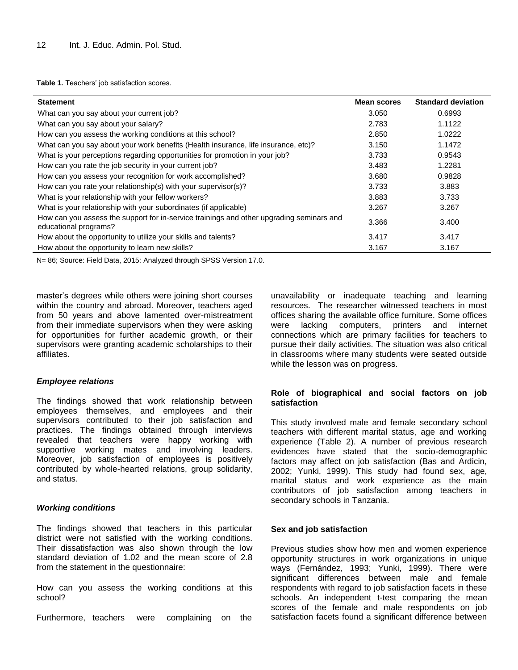Table 1. Teachers' job satisfaction scores.

| <b>Statement</b>                                                                                                  | <b>Mean scores</b> | <b>Standard deviation</b> |
|-------------------------------------------------------------------------------------------------------------------|--------------------|---------------------------|
| What can you say about your current job?                                                                          | 3.050              | 0.6993                    |
| What can you say about your salary?                                                                               | 2.783              | 1.1122                    |
| How can you assess the working conditions at this school?                                                         | 2.850              | 1.0222                    |
| What can you say about your work benefits (Health insurance, life insurance, etc)?                                | 3.150              | 1.1472                    |
| What is your perceptions regarding opportunities for promotion in your job?                                       | 3.733              | 0.9543                    |
| How can you rate the job security in your current job?                                                            | 3.483              | 1.2281                    |
| How can you assess your recognition for work accomplished?                                                        | 3.680              | 0.9828                    |
| How can you rate your relationship(s) with your supervisor(s)?                                                    | 3.733              | 3.883                     |
| What is your relationship with your fellow workers?                                                               | 3.883              | 3.733                     |
| What is your relationship with your subordinates (if applicable)                                                  | 3.267              | 3.267                     |
| How can you assess the support for in-service trainings and other upgrading seminars and<br>educational programs? | 3.366              | 3.400                     |
| How about the opportunity to utilize your skills and talents?                                                     | 3.417              | 3.417                     |
| How about the opportunity to learn new skills?                                                                    | 3.167              | 3.167                     |

N= 86; Source: Field Data, 2015: Analyzed through SPSS Version 17.0.

master"s degrees while others were joining short courses within the country and abroad. Moreover, teachers aged from 50 years and above lamented over-mistreatment from their immediate supervisors when they were asking for opportunities for further academic growth, or their supervisors were granting academic scholarships to their affiliates.

#### *Employee relations*

The findings showed that work relationship between employees themselves, and employees and their supervisors contributed to their job satisfaction and practices. The findings obtained through interviews revealed that teachers were happy working with supportive working mates and involving leaders. Moreover, job satisfaction of employees is positively contributed by whole-hearted relations, group solidarity, and status.

#### *Working conditions*

The findings showed that teachers in this particular district were not satisfied with the working conditions. Their dissatisfaction was also shown through the low standard deviation of 1.02 and the mean score of 2.8 from the statement in the questionnaire:

How can you assess the working conditions at this school?

Furthermore, teachers were complaining on the

unavailability or inadequate teaching and learning resources. The researcher witnessed teachers in most offices sharing the available office furniture. Some offices were lacking computers, printers and internet connections which are primary facilities for teachers to pursue their daily activities. The situation was also critical in classrooms where many students were seated outside while the lesson was on progress.

#### **Role of biographical and social factors on job satisfaction**

This study involved male and female secondary school teachers with different marital status, age and working experience (Table 2). A number of previous research evidences have stated that the socio-demographic factors may affect on job satisfaction (Bas and Ardicin, 2002; Yunki, 1999). This study had found sex, age, marital status and work experience as the main contributors of job satisfaction among teachers in secondary schools in Tanzania.

#### **Sex and job satisfaction**

Previous studies show how men and women experience opportunity structures in work organizations in unique ways (Fernández, 1993; Yunki, 1999). There were significant differences between male and female respondents with regard to job satisfaction facets in these schools. An independent t-test comparing the mean scores of the female and male respondents on job satisfaction facets found a significant difference between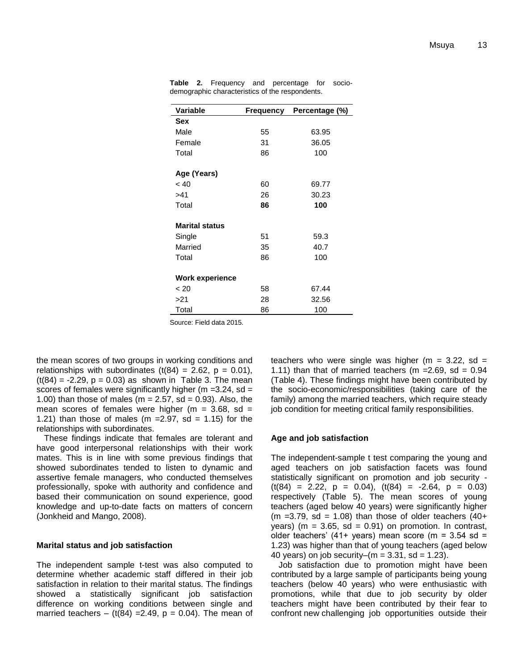| Variable               | Frequency<br>Percentage (%) |       |  |
|------------------------|-----------------------------|-------|--|
| Sex                    |                             |       |  |
| Male                   | 55                          | 63.95 |  |
| Female                 | 31                          | 36.05 |  |
| Total                  | 86                          | 100   |  |
| Age (Years)            |                             |       |  |
| < 40                   | 60                          | 69.77 |  |
| >41                    | 26                          | 30.23 |  |
| Total                  | 86                          | 100   |  |
| <b>Marital status</b>  |                             |       |  |
| Single                 | 51                          | 59.3  |  |
| Married                | 35                          | 40.7  |  |
| Total                  | 86                          | 100   |  |
| <b>Work experience</b> |                             |       |  |
| $~<$ 20                | 58                          | 67.44 |  |
| >21                    | 28                          | 32.56 |  |
| Total                  | 86                          | 100   |  |

**Table 2.** Frequency and percentage for sociodemographic characteristics of the respondents.

Source: Field data 2015.

the mean scores of two groups in working conditions and relationships with subordinates  $(t(84) = 2.62, p = 0.01)$ ,  $(t(84) = -2.29, p = 0.03)$  as shown in Table 3. The mean scores of females were significantly higher ( $m = 3.24$ , sd = 1.00) than those of males ( $m = 2.57$ , sd = 0.93). Also, the mean scores of females were higher ( $m = 3.68$ , sd = 1.21) than those of males (m =  $2.97$ , sd = 1.15) for the relationships with subordinates.

These findings indicate that females are tolerant and have good interpersonal relationships with their work mates. This is in line with some previous findings that showed subordinates tended to listen to dynamic and assertive female managers, who conducted themselves professionally, spoke with authority and confidence and based their communication on sound experience, good knowledge and up-to-date facts on matters of concern (Jonkheid and Mango, 2008).

#### **Marital status and job satisfaction**

The independent sample t-test was also computed to determine whether academic staff differed in their job satisfaction in relation to their marital status. The findings showed a statistically significant job satisfaction difference on working conditions between single and married teachers – (t(84) = 2.49,  $p = 0.04$ ). The mean of

teachers who were single was higher ( $m = 3.22$ , sd = 1.11) than that of married teachers (m =  $2.69$ , sd =  $0.94$ (Table 4). These findings might have been contributed by the socio-economic/responsibilities (taking care of the family) among the married teachers, which require steady job condition for meeting critical family responsibilities.

# **Age and job satisfaction**

The independent-sample t test comparing the young and aged teachers on job satisfaction facets was found statistically significant on promotion and job security -  $(t(84) = 2.22, p = 0.04), (t(84) = -2.64, p = 0.03)$ respectively (Table 5). The mean scores of young teachers (aged below 40 years) were significantly higher (m = 3.79, sd = 1.08) than those of older teachers  $(40+)$ years) ( $m = 3.65$ , sd = 0.91) on promotion. In contrast, older teachers' (41+ years) mean score (m =  $3.54$  sd = 1.23) was higher than that of young teachers (aged below 40 years) on job security–( $m = 3.31$ , sd = 1.23).

Job satisfaction due to promotion might have been contributed by a large sample of participants being young teachers (below 40 years) who were enthusiastic with promotions, while that due to job security by older teachers might have been contributed by their fear to confront new challenging job opportunities outside their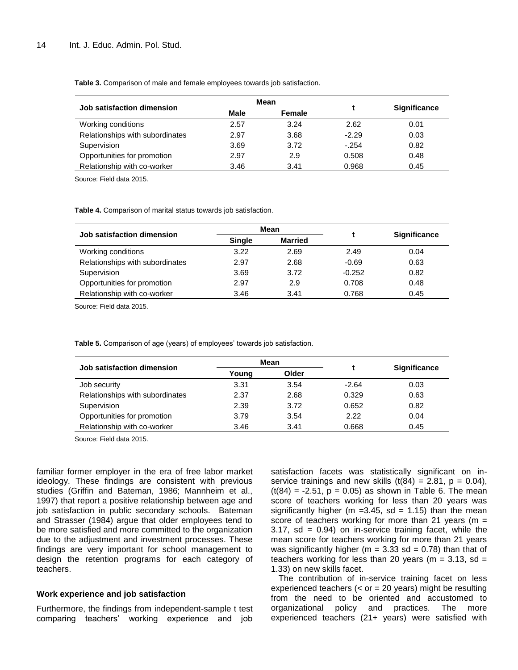**Table 3.** Comparison of male and female employees towards job satisfaction.

| Mean |        |         |                     |
|------|--------|---------|---------------------|
| Male | Female |         | <b>Significance</b> |
| 2.57 | 3.24   | 2.62    | 0.01                |
| 2.97 | 3.68   | $-2.29$ | 0.03                |
| 3.69 | 3.72   | $-.254$ | 0.82                |
| 2.97 | 2.9    | 0.508   | 0.48                |
| 3.46 | 3.41   | 0.968   | 0.45                |
|      |        |         |                     |

Source: Field data 2015.

**Table 4.** Comparison of marital status towards job satisfaction.

| Job satisfaction dimension      | Mean          |                |          |                     |
|---------------------------------|---------------|----------------|----------|---------------------|
|                                 | <b>Single</b> | <b>Married</b> |          | <b>Significance</b> |
| Working conditions              | 3.22          | 2.69           | 2.49     | 0.04                |
| Relationships with subordinates | 2.97          | 2.68           | $-0.69$  | 0.63                |
| Supervision                     | 3.69          | 3.72           | $-0.252$ | 0.82                |
| Opportunities for promotion     | 2.97          | 2.9            | 0.708    | 0.48                |
| Relationship with co-worker     | 3.46          | 3.41           | 0.768    | 0.45                |

Source: Field data 2015.

Table 5. Comparison of age (years) of employees' towards job satisfaction.

| Job satisfaction dimension      | Mean  |       |         |                     |
|---------------------------------|-------|-------|---------|---------------------|
|                                 | Young | Older |         | <b>Significance</b> |
| Job security                    | 3.31  | 3.54  | $-2.64$ | 0.03                |
| Relationships with subordinates | 2.37  | 2.68  | 0.329   | 0.63                |
| Supervision                     | 2.39  | 3.72  | 0.652   | 0.82                |
| Opportunities for promotion     | 3.79  | 3.54  | 2.22    | 0.04                |
| Relationship with co-worker     | 3.46  | 3.41  | 0.668   | 0.45                |

Source: Field data 2015.

familiar former employer in the era of free labor market ideology. These findings are consistent with previous studies (Griffin and Bateman, 1986; Mannheim et al., 1997) that report a positive relationship between age and job satisfaction in public secondary schools. Bateman and Strasser (1984) argue that older employees tend to be more satisfied and more committed to the organization due to the adjustment and investment processes. These findings are very important for school management to design the retention programs for each category of teachers.

#### **Work experience and job satisfaction**

Furthermore, the findings from independent-sample t test comparing teachers" working experience and job

satisfaction facets was statistically significant on inservice trainings and new skills  $(t(84) = 2.81, p = 0.04)$ ,  $(t(84) = -2.51, p = 0.05)$  as shown in Table 6. The mean score of teachers working for less than 20 years was significantly higher (m =  $3.45$ , sd = 1.15) than the mean score of teachers working for more than 21 years ( $m =$  $3.17$ , sd =  $0.94$ ) on in-service training facet, while the mean score for teachers working for more than 21 years was significantly higher ( $m = 3.33$  sd = 0.78) than that of teachers working for less than 20 years ( $m = 3.13$ , sd = 1.33) on new skills facet.

The contribution of in-service training facet on less experienced teachers  $(<$  or = 20 years) might be resulting from the need to be oriented and accustomed to organizational policy and practices. The more experienced teachers (21+ years) were satisfied with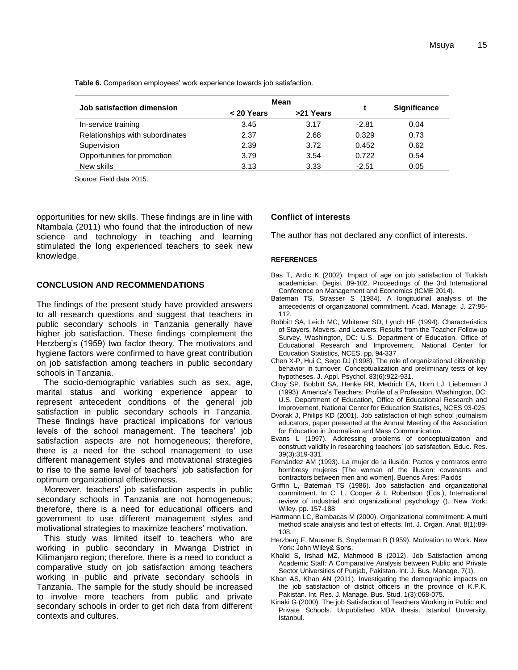Table 6. Comparison employees' work experience towards job satisfaction.

| Job satisfaction dimension      | Mean       |           |         |                     |
|---------------------------------|------------|-----------|---------|---------------------|
|                                 | < 20 Years | >21 Years |         | <b>Significance</b> |
| In-service training             | 3.45       | 3.17      | $-2.81$ | 0.04                |
| Relationships with subordinates | 2.37       | 2.68      | 0.329   | 0.73                |
| Supervision                     | 2.39       | 3.72      | 0.452   | 0.62                |
| Opportunities for promotion     | 3.79       | 3.54      | 0.722   | 0.54                |
| New skills                      | 3.13       | 3.33      | $-2.51$ | 0.05                |

Source: Field data 2015.

opportunities for new skills. These findings are in line with Ntambala (2011) who found that the introduction of new science and technology in teaching and learning stimulated the long experienced teachers to seek new knowledge.

#### **CONCLUSION AND RECOMMENDATIONS**

The findings of the present study have provided answers to all research questions and suggest that teachers in public secondary schools in Tanzania generally have higher job satisfaction. These findings complement the Herzberg"s (1959) two factor theory. The motivators and hygiene factors were confirmed to have great contribution on job satisfaction among teachers in public secondary schools in Tanzania.

The socio-demographic variables such as sex, age, marital status and working experience appear to represent antecedent conditions of the general job satisfaction in public secondary schools in Tanzania. These findings have practical implications for various levels of the school management. The teachers' job satisfaction aspects are not homogeneous; therefore, there is a need for the school management to use different management styles and motivational strategies to rise to the same level of teachers' job satisfaction for optimum organizational effectiveness.

Moreover, teachers" job satisfaction aspects in public secondary schools in Tanzania are not homogeneous; therefore, there is a need for educational officers and government to use different management styles and motivational strategies to maximize teachers' motivation.

This study was limited itself to teachers who are working in public secondary in Mwanga District in Kilimanjaro region; therefore, there is a need to conduct a comparative study on job satisfaction among teachers working in public and private secondary schools in Tanzania. The sample for the study should be increased to involve more teachers from public and private secondary schools in order to get rich data from different contexts and cultures.

#### **Conflict of interests**

The author has not declared any conflict of interests.

#### **REFERENCES**

- Bas T, Ardic K (2002). Impact of age on job satisfaction of Turkish academician. Degisi, 89-102. Proceedings of the 3rd International Conference on Management and Economics (ICME 2014).
- Bateman TS, Strasser S (1984). A longitudinal analysis of the antecedents of organizational commitment. Acad. Manage. J. 27:95- 112.
- Bobbitt SA, Leich MC, Whitener SD, Lynch HF (1994). Characteristics of Stayers, Movers, and Leavers: Results from the Teacher Follow-up Survey. Washington, DC: U.S. Department of Education, Office of Educational Research and Improvement, National Center for Education Statistics, NCES. pp. 94-337
- Chen X-P, Hui C, Sego DJ (1998). The role of organizational citizenship behavior in turnover: Conceptualization and preliminary tests of key hypotheses. J. Appl. Psychol. 83(6):922-931.
- Choy SP, Bobbitt SA, Henke RR, Medrich EA, Horn LJ, Lieberman J (1993). America"s Teachers: Profile of a Profession. Washington, DC: U.S. Department of Education, Office of Educational Research and Improvement, National Center for Education Statistics, NCES 93-025.
- Dvorak J, Philips KD (2001). Job satisfaction of high school journalism educators, paper presented at the Annual Meeting of the Association for Education in Journalism and Mass Communication.
- Evans L (1997). Addressing problems of conceptualization and construct validity in researching teachers" job satisfaction. Educ. Res. 39(3):319-331.
- Fernández AM (1993). La mujer de la ilusión: Pactos y contratos entre hombresy mujeres [The woman of the illusion: covenants and contractors between men and women]. Buenos Aires: Paidós
- Griffin L, Bateman TS (1986). Job satisfaction and organizational commitment. In C. L. Cooper & I. Robertson (Eds.), International review of industrial and organizational psychology (). New York: Wiley. pp. 157-188
- Hartmann LC, Bambacas M (2000). Organizational commitment: A multi method scale analysis and test of effects. Int. J. Organ. Anal. 8(1):89- 108.
- Herzberg F, Mausner B, Snyderman B (1959). Motivation to Work. New York: John Wiley& Sons.
- Khalid S, Irshad MZ, Mahmood B (2012). Job Satisfaction among Academic Staff: A Comparative Analysis between Public and Private Sector Universities of Punjab, Pakistan. Int. J. Bus. Manage. 7(1).
- Khan AS, Khan AN (2011). Investigating the demographic impacts on the job satisfaction of district officers in the province of K.P.K, Pakistan. Int. Res. J. Manage. Bus. Stud. 1(3):068-075.
- Kinaki G (2000). The job Satisfaction of Teachers Working in Public and Private Schools. Unpublished MBA thesis. Istanbul University. Istanbul.